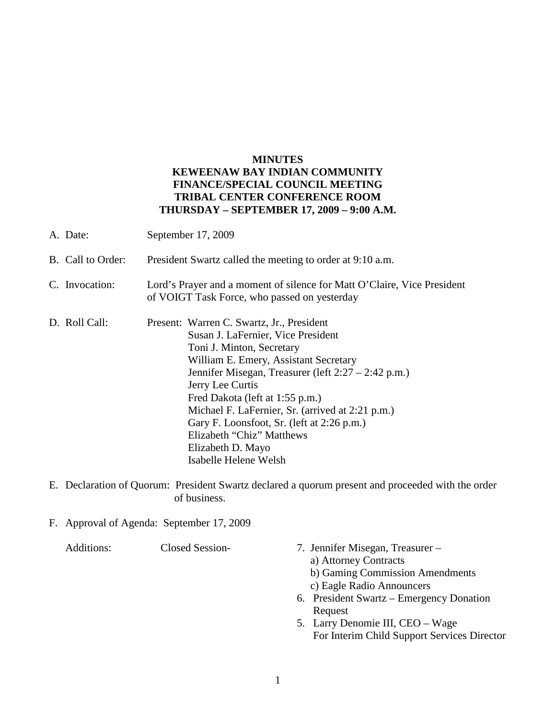## **MINUTES KEWEENAW BAY INDIAN COMMUNITY FINANCE/SPECIAL COUNCIL MEETING TRIBAL CENTER CONFERENCE ROOM THURSDAY – SEPTEMBER 17, 2009 – 9:00 A.M.**

- A. Date: September 17, 2009 B. Call to Order: President Swartz called the meeting to order at 9:10 a.m. C. Invocation: Lord's Prayer and a moment of silence for Matt O'Claire, Vice President of VOIGT Task Force, who passed on yesterday D. Roll Call: Present: Warren C. Swartz, Jr., President Susan J. LaFernier, Vice President Toni J. Minton, Secretary William E. Emery, Assistant Secretary Jennifer Misegan, Treasurer (left 2:27 – 2:42 p.m.) Jerry Lee Curtis Fred Dakota (left at 1:55 p.m.) Michael F. LaFernier, Sr. (arrived at 2:21 p.m.) Gary F. Loonsfoot, Sr. (left at 2:26 p.m.) Elizabeth "Chiz" Matthews Elizabeth D. Mayo Isabelle Helene Welsh
- E. Declaration of Quorum: President Swartz declared a quorum present and proceeded with the order of business.
- F. Approval of Agenda: September 17, 2009

Additions: Closed Session- 7. Jennifer Misegan, Treasurer – a) Attorney Contracts b) Gaming Commission Amendments c) Eagle Radio Announcers 6. President Swartz – Emergency Donation Request 5. Larry Denomie III, CEO – Wage For Interim Child Support Services Director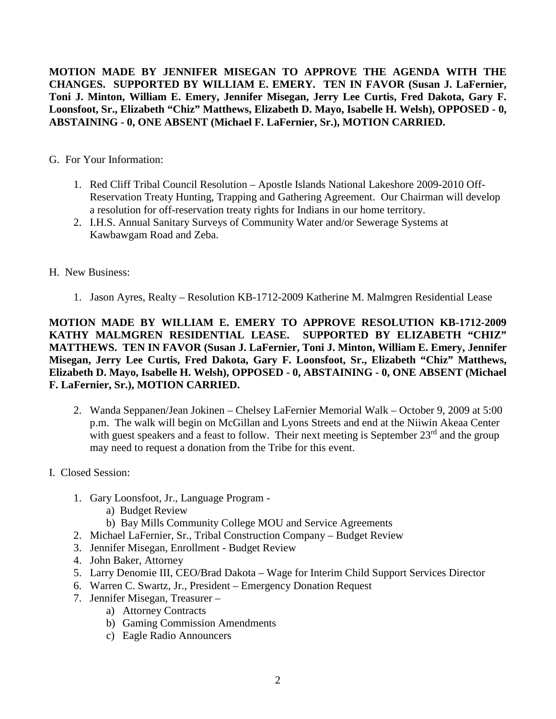**MOTION MADE BY JENNIFER MISEGAN TO APPROVE THE AGENDA WITH THE CHANGES. SUPPORTED BY WILLIAM E. EMERY. TEN IN FAVOR (Susan J. LaFernier, Toni J. Minton, William E. Emery, Jennifer Misegan, Jerry Lee Curtis, Fred Dakota, Gary F. Loonsfoot, Sr., Elizabeth "Chiz" Matthews, Elizabeth D. Mayo, Isabelle H. Welsh), OPPOSED - 0, ABSTAINING - 0, ONE ABSENT (Michael F. LaFernier, Sr.), MOTION CARRIED.**

G. For Your Information:

- 1. Red Cliff Tribal Council Resolution Apostle Islands National Lakeshore 2009-2010 Off-Reservation Treaty Hunting, Trapping and Gathering Agreement. Our Chairman will develop a resolution for off-reservation treaty rights for Indians in our home territory.
- 2. I.H.S. Annual Sanitary Surveys of Community Water and/or Sewerage Systems at Kawbawgam Road and Zeba.
- H. New Business:
	- 1. Jason Ayres, Realty Resolution KB-1712-2009 Katherine M. Malmgren Residential Lease

**MOTION MADE BY WILLIAM E. EMERY TO APPROVE RESOLUTION KB-1712-2009 KATHY MALMGREN RESIDENTIAL LEASE. SUPPORTED BY ELIZABETH "CHIZ" MATTHEWS. TEN IN FAVOR (Susan J. LaFernier, Toni J. Minton, William E. Emery, Jennifer Misegan, Jerry Lee Curtis, Fred Dakota, Gary F. Loonsfoot, Sr., Elizabeth "Chiz" Matthews, Elizabeth D. Mayo, Isabelle H. Welsh), OPPOSED - 0, ABSTAINING - 0, ONE ABSENT (Michael F. LaFernier, Sr.), MOTION CARRIED.**

- 2. Wanda Seppanen/Jean Jokinen Chelsey LaFernier Memorial Walk October 9, 2009 at 5:00 p.m. The walk will begin on McGillan and Lyons Streets and end at the Niiwin Akeaa Center with guest speakers and a feast to follow. Their next meeting is September 23<sup>rd</sup> and the group may need to request a donation from the Tribe for this event.
- I. Closed Session:
	- 1. Gary Loonsfoot, Jr., Language Program
		- a) Budget Review
		- b) Bay Mills Community College MOU and Service Agreements
	- 2. Michael LaFernier, Sr., Tribal Construction Company Budget Review
	- 3. Jennifer Misegan, Enrollment Budget Review
	- 4. John Baker, Attorney
	- 5. Larry Denomie III, CEO/Brad Dakota Wage for Interim Child Support Services Director
	- 6. Warren C. Swartz, Jr., President Emergency Donation Request
	- 7. Jennifer Misegan, Treasurer
		- a) Attorney Contracts
		- b) Gaming Commission Amendments
		- c) Eagle Radio Announcers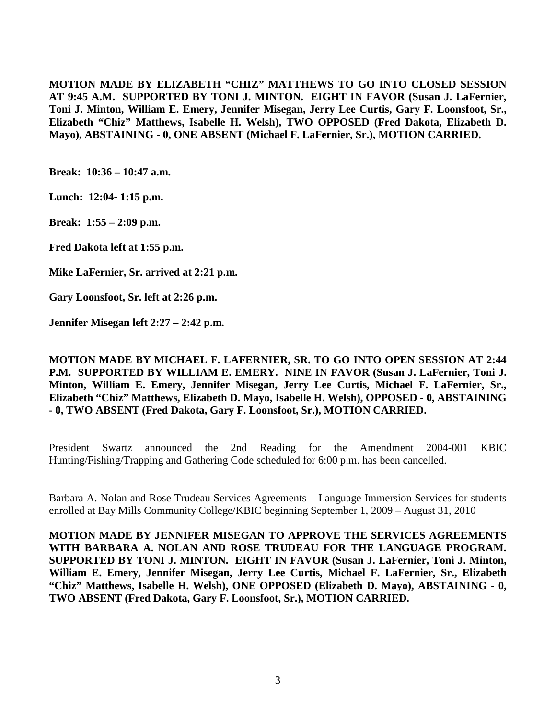**MOTION MADE BY ELIZABETH "CHIZ" MATTHEWS TO GO INTO CLOSED SESSION AT 9:45 A.M. SUPPORTED BY TONI J. MINTON. EIGHT IN FAVOR (Susan J. LaFernier, Toni J. Minton, William E. Emery, Jennifer Misegan, Jerry Lee Curtis, Gary F. Loonsfoot, Sr., Elizabeth "Chiz" Matthews, Isabelle H. Welsh), TWO OPPOSED (Fred Dakota, Elizabeth D. Mayo), ABSTAINING - 0, ONE ABSENT (Michael F. LaFernier, Sr.), MOTION CARRIED.**

**Break: 10:36 – 10:47 a.m.**

**Lunch: 12:04- 1:15 p.m.**

**Break: 1:55 – 2:09 p.m.**

**Fred Dakota left at 1:55 p.m.**

**Mike LaFernier, Sr. arrived at 2:21 p.m.**

**Gary Loonsfoot, Sr. left at 2:26 p.m.**

**Jennifer Misegan left 2:27 – 2:42 p.m.**

**MOTION MADE BY MICHAEL F. LAFERNIER, SR. TO GO INTO OPEN SESSION AT 2:44 P.M. SUPPORTED BY WILLIAM E. EMERY. NINE IN FAVOR (Susan J. LaFernier, Toni J. Minton, William E. Emery, Jennifer Misegan, Jerry Lee Curtis, Michael F. LaFernier, Sr., Elizabeth "Chiz" Matthews, Elizabeth D. Mayo, Isabelle H. Welsh), OPPOSED - 0, ABSTAINING - 0, TWO ABSENT (Fred Dakota, Gary F. Loonsfoot, Sr.), MOTION CARRIED.**

President Swartz announced the 2nd Reading for the Amendment 2004-001 KBIC Hunting/Fishing/Trapping and Gathering Code scheduled for 6:00 p.m. has been cancelled.

Barbara A. Nolan and Rose Trudeau Services Agreements – Language Immersion Services for students enrolled at Bay Mills Community College/KBIC beginning September 1, 2009 – August 31, 2010

**MOTION MADE BY JENNIFER MISEGAN TO APPROVE THE SERVICES AGREEMENTS WITH BARBARA A. NOLAN AND ROSE TRUDEAU FOR THE LANGUAGE PROGRAM. SUPPORTED BY TONI J. MINTON. EIGHT IN FAVOR (Susan J. LaFernier, Toni J. Minton, William E. Emery, Jennifer Misegan, Jerry Lee Curtis, Michael F. LaFernier, Sr., Elizabeth "Chiz" Matthews, Isabelle H. Welsh), ONE OPPOSED (Elizabeth D. Mayo), ABSTAINING - 0, TWO ABSENT (Fred Dakota, Gary F. Loonsfoot, Sr.), MOTION CARRIED.**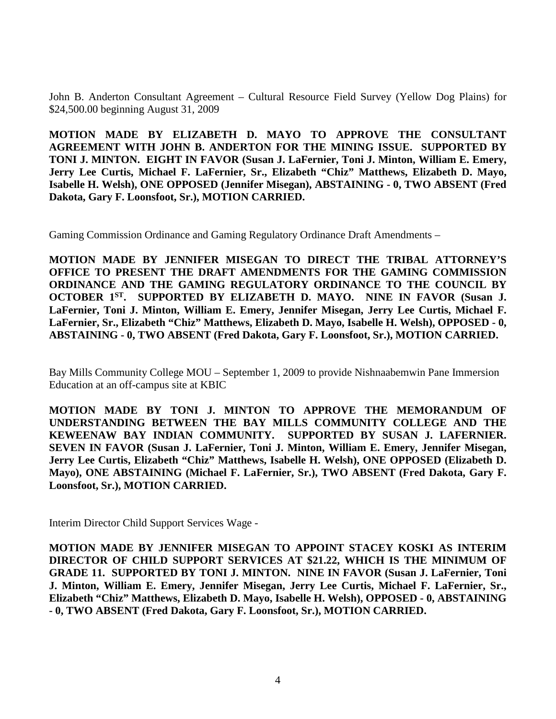John B. Anderton Consultant Agreement – Cultural Resource Field Survey (Yellow Dog Plains) for \$24,500.00 beginning August 31, 2009

**MOTION MADE BY ELIZABETH D. MAYO TO APPROVE THE CONSULTANT AGREEMENT WITH JOHN B. ANDERTON FOR THE MINING ISSUE. SUPPORTED BY TONI J. MINTON. EIGHT IN FAVOR (Susan J. LaFernier, Toni J. Minton, William E. Emery, Jerry Lee Curtis, Michael F. LaFernier, Sr., Elizabeth "Chiz" Matthews, Elizabeth D. Mayo, Isabelle H. Welsh), ONE OPPOSED (Jennifer Misegan), ABSTAINING - 0, TWO ABSENT (Fred Dakota, Gary F. Loonsfoot, Sr.), MOTION CARRIED.**

Gaming Commission Ordinance and Gaming Regulatory Ordinance Draft Amendments –

**MOTION MADE BY JENNIFER MISEGAN TO DIRECT THE TRIBAL ATTORNEY'S OFFICE TO PRESENT THE DRAFT AMENDMENTS FOR THE GAMING COMMISSION ORDINANCE AND THE GAMING REGULATORY ORDINANCE TO THE COUNCIL BY OCTOBER 1ST. SUPPORTED BY ELIZABETH D. MAYO. NINE IN FAVOR (Susan J. LaFernier, Toni J. Minton, William E. Emery, Jennifer Misegan, Jerry Lee Curtis, Michael F. LaFernier, Sr., Elizabeth "Chiz" Matthews, Elizabeth D. Mayo, Isabelle H. Welsh), OPPOSED - 0, ABSTAINING - 0, TWO ABSENT (Fred Dakota, Gary F. Loonsfoot, Sr.), MOTION CARRIED.**

Bay Mills Community College MOU – September 1, 2009 to provide Nishnaabemwin Pane Immersion Education at an off-campus site at KBIC

**MOTION MADE BY TONI J. MINTON TO APPROVE THE MEMORANDUM OF UNDERSTANDING BETWEEN THE BAY MILLS COMMUNITY COLLEGE AND THE KEWEENAW BAY INDIAN COMMUNITY. SUPPORTED BY SUSAN J. LAFERNIER. SEVEN IN FAVOR (Susan J. LaFernier, Toni J. Minton, William E. Emery, Jennifer Misegan, Jerry Lee Curtis, Elizabeth "Chiz" Matthews, Isabelle H. Welsh), ONE OPPOSED (Elizabeth D. Mayo), ONE ABSTAINING (Michael F. LaFernier, Sr.), TWO ABSENT (Fred Dakota, Gary F. Loonsfoot, Sr.), MOTION CARRIED.**

Interim Director Child Support Services Wage -

**MOTION MADE BY JENNIFER MISEGAN TO APPOINT STACEY KOSKI AS INTERIM DIRECTOR OF CHILD SUPPORT SERVICES AT \$21.22, WHICH IS THE MINIMUM OF GRADE 11. SUPPORTED BY TONI J. MINTON. NINE IN FAVOR (Susan J. LaFernier, Toni J. Minton, William E. Emery, Jennifer Misegan, Jerry Lee Curtis, Michael F. LaFernier, Sr., Elizabeth "Chiz" Matthews, Elizabeth D. Mayo, Isabelle H. Welsh), OPPOSED - 0, ABSTAINING - 0, TWO ABSENT (Fred Dakota, Gary F. Loonsfoot, Sr.), MOTION CARRIED.**